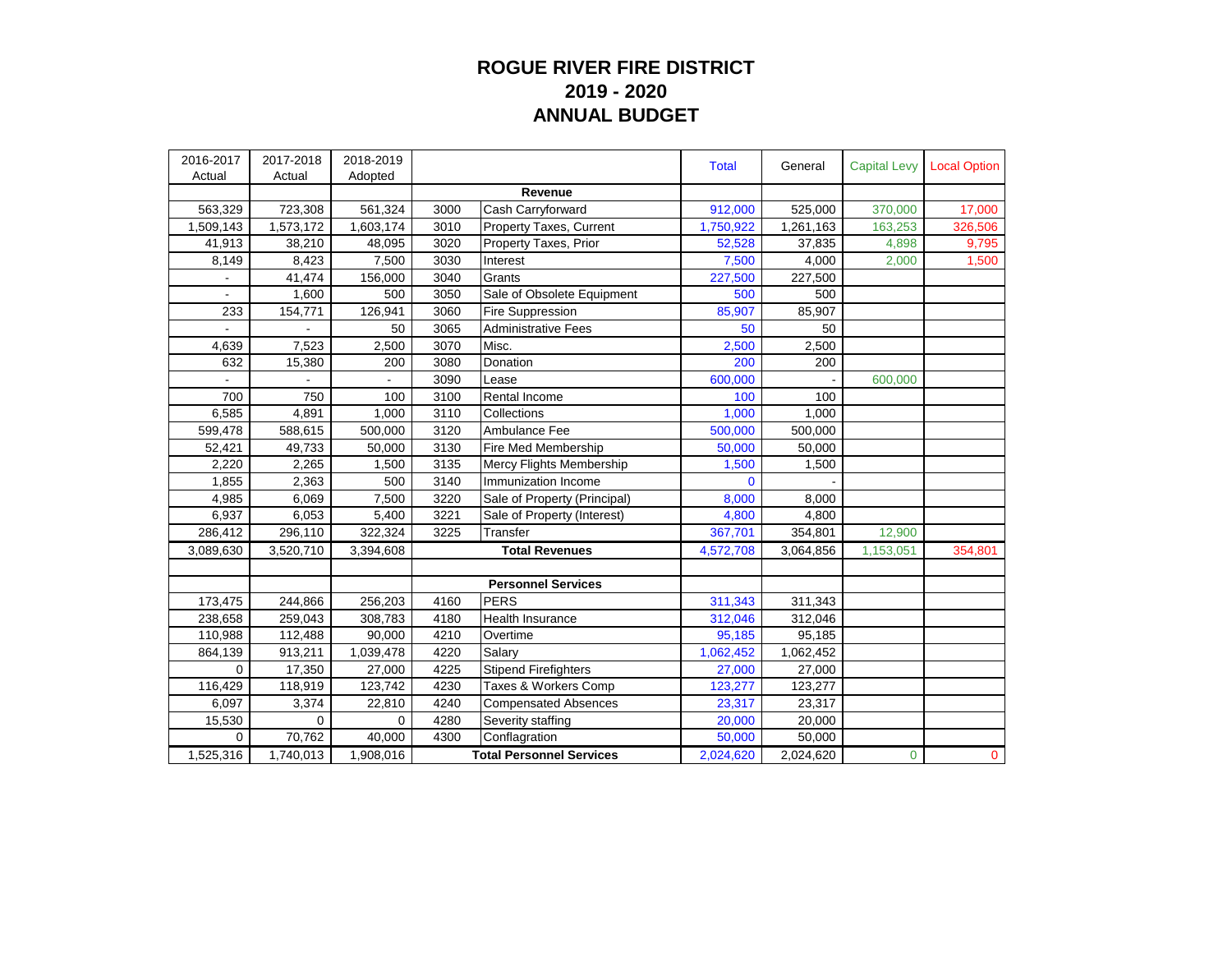## **ROGUE RIVER FIRE DISTRICT 2019 - 2020 ANNUAL BUDGET**

| 2016-2017<br>Actual | 2017-2018 | 2018-2019<br>Adopted |                                 |                                | <b>Total</b> | General   | <b>Capital Levy</b> | <b>Local Option</b> |
|---------------------|-----------|----------------------|---------------------------------|--------------------------------|--------------|-----------|---------------------|---------------------|
|                     | Actual    |                      |                                 | Revenue                        |              |           |                     |                     |
| 563,329             | 723,308   | 561,324              | 3000                            | Cash Carryforward              | 912,000      | 525,000   | 370,000             | 17,000              |
| 1,509,143           | 1,573,172 | 1,603,174            | 3010                            | <b>Property Taxes, Current</b> | 1,750,922    | 1,261,163 | 163,253             | 326,506             |
| 41,913              | 38,210    | 48,095               | 3020                            | Property Taxes, Prior          | 52,528       | 37,835    | 4,898               | 9,795               |
| 8,149               | 8,423     | 7,500                | 3030                            | Interest                       | 7,500        | 4,000     | 2,000               | 1,500               |
|                     | 41,474    | 156,000              | 3040                            | Grants                         | 227,500      | 227,500   |                     |                     |
|                     | 1,600     | 500                  | 3050                            | Sale of Obsolete Equipment     | 500          | 500       |                     |                     |
| 233                 | 154,771   | 126,941              | 3060                            | Fire Suppression               | 85,907       | 85,907    |                     |                     |
|                     |           | 50                   | 3065                            | <b>Administrative Fees</b>     | 50           | 50        |                     |                     |
| 4,639               | 7,523     | 2,500                | 3070                            | Misc.                          | 2,500        | 2,500     |                     |                     |
| 632                 | 15,380    | 200                  | 3080                            | Donation                       | 200          | 200       |                     |                     |
|                     |           |                      | 3090                            | Lease                          | 600,000      |           | 600,000             |                     |
| 700                 | 750       | 100                  | 3100                            | Rental Income                  | 100          | 100       |                     |                     |
| 6,585               | 4,891     | 1.000                | 3110                            | Collections                    | 1,000        | 1,000     |                     |                     |
| 599,478             | 588,615   | 500,000              | 3120                            | Ambulance Fee                  | 500,000      | 500,000   |                     |                     |
| 52,421              |           |                      | 3130                            | Fire Med Membership            | 50,000       | 50,000    |                     |                     |
|                     | 49,733    | 50,000               | 3135                            |                                |              |           |                     |                     |
| 2,220               | 2,265     | 1,500                |                                 | Mercy Flights Membership       | 1,500        | 1,500     |                     |                     |
| 1,855               | 2,363     | 500                  | 3140                            | Immunization Income            | $\Omega$     |           |                     |                     |
| 4,985               | 6,069     | 7,500                | 3220                            | Sale of Property (Principal)   | 8,000        | 8,000     |                     |                     |
| 6,937               | 6,053     | 5,400                | 3221                            | Sale of Property (Interest)    | 4,800        | 4,800     |                     |                     |
| 286,412             | 296,110   | 322,324              | 3225                            | Transfer                       | 367,701      | 354,801   | 12,900              |                     |
| 3,089,630           | 3,520,710 | 3,394,608            |                                 | <b>Total Revenues</b>          | 4,572,708    | 3,064,856 | 1,153,051           | 354,801             |
|                     |           |                      |                                 | <b>Personnel Services</b>      |              |           |                     |                     |
|                     | 244,866   |                      | 4160                            | <b>PERS</b>                    | 311,343      | 311,343   |                     |                     |
| 173,475<br>238,658  | 259,043   | 256,203<br>308,783   | 4180                            | <b>Health Insurance</b>        | 312,046      | 312,046   |                     |                     |
|                     |           |                      |                                 |                                |              |           |                     |                     |
| 110,988             | 112,488   | 90,000               | 4210<br>4220                    | Overtime                       | 95,185       | 95,185    |                     |                     |
| 864,139             | 913,211   | 1,039,478            |                                 | Salary                         | 1,062,452    | 1,062,452 |                     |                     |
| $\Omega$            | 17,350    | 27,000               | 4225                            | <b>Stipend Firefighters</b>    | 27,000       | 27,000    |                     |                     |
| 116,429             | 118,919   | 123,742              | 4230                            | Taxes & Workers Comp           | 123,277      | 123,277   |                     |                     |
| 6,097               | 3,374     | 22,810               | 4240                            | <b>Compensated Absences</b>    | 23,317       | 23,317    |                     |                     |
| 15,530              | 0         | 0                    | 4280                            | Severity staffing              | 20,000       | 20,000    |                     |                     |
| 0                   | 70,762    | 40,000               | 4300                            | Conflagration                  | 50,000       | 50,000    |                     |                     |
| 1,525,316           | 1,740,013 | 1,908,016            | <b>Total Personnel Services</b> |                                | 2,024,620    | 2,024,620 | 0                   | $\overline{0}$      |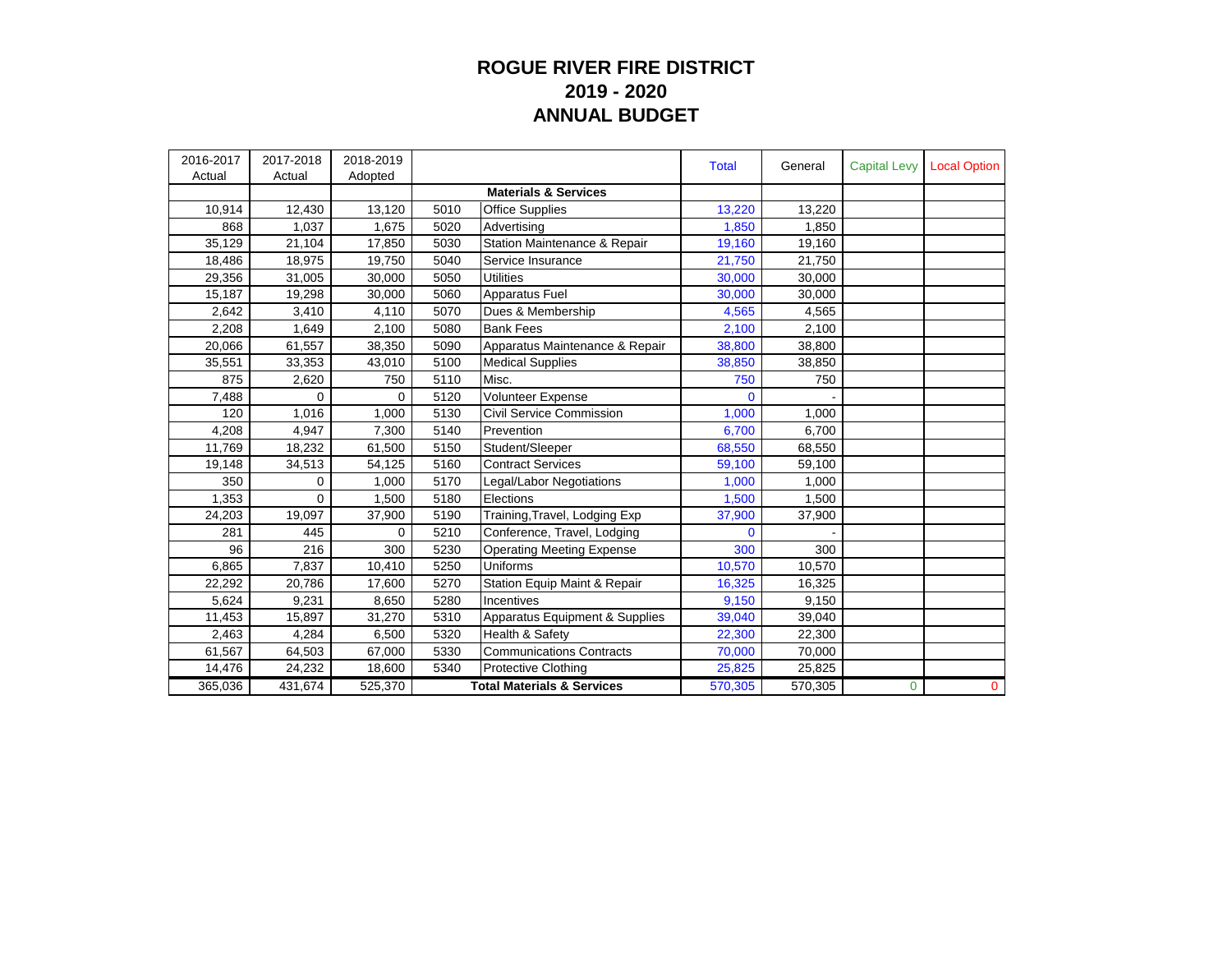## **ROGUE RIVER FIRE DISTRICT 2019 - 2020 ANNUAL BUDGET**

| 2016-2017 | 2017-2018 | 2018-2019 |      |                                       | <b>Total</b> | General | <b>Capital Levy</b> | <b>Local Option</b> |
|-----------|-----------|-----------|------|---------------------------------------|--------------|---------|---------------------|---------------------|
| Actual    | Actual    | Adopted   |      |                                       |              |         |                     |                     |
|           |           |           |      | <b>Materials &amp; Services</b>       |              |         |                     |                     |
| 10,914    | 12,430    | 13,120    | 5010 | <b>Office Supplies</b>                | 13,220       | 13,220  |                     |                     |
| 868       | 1,037     | 1,675     | 5020 | Advertising                           | 1,850        | 1,850   |                     |                     |
| 35,129    | 21,104    | 17,850    | 5030 | Station Maintenance & Repair          | 19,160       | 19,160  |                     |                     |
| 18,486    | 18,975    | 19,750    | 5040 | Service Insurance                     | 21,750       | 21,750  |                     |                     |
| 29,356    | 31,005    | 30,000    | 5050 | <b>Utilities</b>                      | 30,000       | 30,000  |                     |                     |
| 15,187    | 19,298    | 30,000    | 5060 | Apparatus Fuel                        | 30,000       | 30,000  |                     |                     |
| 2,642     | 3,410     | 4,110     | 5070 | Dues & Membership                     | 4,565        | 4,565   |                     |                     |
| 2,208     | 1,649     | 2,100     | 5080 | <b>Bank Fees</b>                      | 2,100        | 2,100   |                     |                     |
| 20,066    | 61,557    | 38,350    | 5090 | Apparatus Maintenance & Repair        | 38,800       | 38,800  |                     |                     |
| 35,551    | 33,353    | 43,010    | 5100 | <b>Medical Supplies</b>               | 38,850       | 38,850  |                     |                     |
| 875       | 2,620     | 750       | 5110 | Misc.                                 | 750          | 750     |                     |                     |
| 7,488     | 0         | 0         | 5120 | <b>Volunteer Expense</b>              | $\mathbf 0$  |         |                     |                     |
| 120       | 1,016     | 1,000     | 5130 | Civil Service Commission              | 1,000        | 1,000   |                     |                     |
| 4,208     | 4,947     | 7,300     | 5140 | Prevention                            | 6,700        | 6,700   |                     |                     |
| 11,769    | 18,232    | 61,500    | 5150 | Student/Sleeper                       | 68,550       | 68,550  |                     |                     |
| 19,148    | 34,513    | 54,125    | 5160 | <b>Contract Services</b>              | 59,100       | 59,100  |                     |                     |
| 350       | 0         | 1,000     | 5170 | Legal/Labor Negotiations              | 1,000        | 1,000   |                     |                     |
| 1,353     | $\Omega$  | 1,500     | 5180 | Elections                             | 1,500        | 1,500   |                     |                     |
| 24,203    | 19,097    | 37,900    | 5190 | Training, Travel, Lodging Exp         | 37,900       | 37,900  |                     |                     |
| 281       | 445       | 0         | 5210 | Conference, Travel, Lodging           | $\Omega$     |         |                     |                     |
| 96        | 216       | 300       | 5230 | <b>Operating Meeting Expense</b>      | 300          | 300     |                     |                     |
| 6,865     | 7,837     | 10,410    | 5250 | Uniforms                              | 10,570       | 10,570  |                     |                     |
| 22,292    | 20,786    | 17,600    | 5270 | Station Equip Maint & Repair          | 16,325       | 16,325  |                     |                     |
| 5,624     | 9,231     | 8,650     | 5280 | Incentives                            | 9,150        | 9,150   |                     |                     |
| 11,453    | 15,897    | 31,270    | 5310 | Apparatus Equipment & Supplies        | 39,040       | 39,040  |                     |                     |
| 2,463     | 4,284     | 6,500     | 5320 | Health & Safety                       | 22,300       | 22,300  |                     |                     |
| 61,567    | 64,503    | 67,000    | 5330 | <b>Communications Contracts</b>       | 70,000       | 70,000  |                     |                     |
| 14,476    | 24,232    | 18,600    | 5340 | Protective Clothing                   | 25,825       | 25,825  |                     |                     |
| 365,036   | 431,674   | 525,370   |      | <b>Total Materials &amp; Services</b> | 570,305      | 570,305 | $\Omega$            | $\mathbf{0}$        |
|           |           |           |      |                                       |              |         |                     |                     |